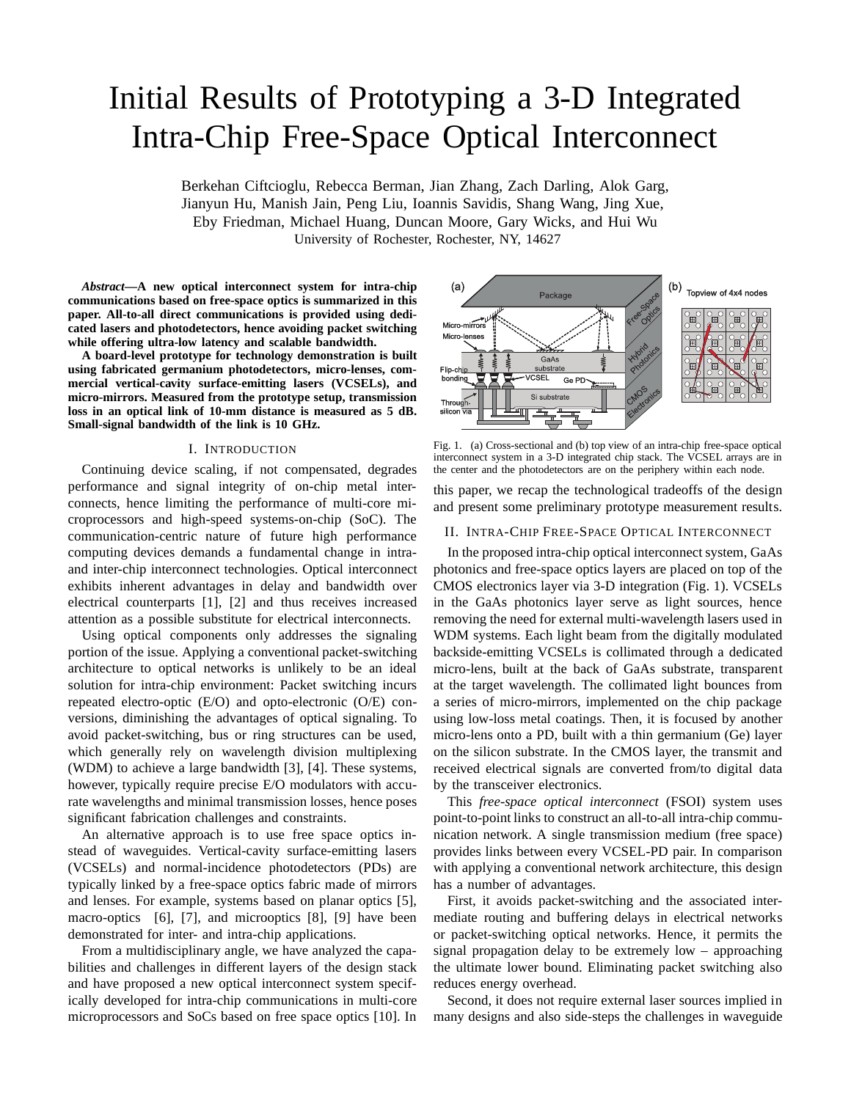# Initial Results of Prototyping a 3-D Integrated Intra-Chip Free-Space Optical Interconnect

Berkehan Ciftcioglu, Rebecca Berman, Jian Zhang, Zach Darling, Alok Garg, Jianyun Hu, Manish Jain, Peng Liu, Ioannis Savidis, Shang Wang, Jing Xue, Eby Friedman, Michael Huang, Duncan Moore, Gary Wicks, and Hui Wu University of Rochester, Rochester, NY, 14627

*Abstract***—A new optical interconnect system for intra-chip communications based on free-space optics is summarized in this paper. All-to-all direct communications is provided using dedicated lasers and photodetectors, hence avoiding packet switching while offering ultra-low latency and scalable bandwidth.**

**A board-level prototype for technology demonstration is built using fabricated germanium photodetectors, micro-lenses, commercial vertical-cavity surface-emitting lasers (VCSELs), and micro-mirrors. Measured from the prototype setup, transmission loss in an optical link of 10-mm distance is measured as 5 dB. Small-signal bandwidth of the link is 10 GHz.**

## I. INTRODUCTION

Continuing device scaling, if not compensated, degrades performance and signal integrity of on-chip metal interconnects, hence limiting the performance of multi-core microprocessors and high-speed systems-on-chip (SoC). The communication-centric nature of future high performance computing devices demands a fundamental change in intraand inter-chip interconnect technologies. Optical interconnect exhibits inherent advantages in delay and bandwidth over electrical counterparts [1], [2] and thus receives increased attention as a possible substitute for electrical interconnects.

Using optical components only addresses the signaling portion of the issue. Applying a conventional packet-switching architecture to optical networks is unlikely to be an ideal solution for intra-chip environment: Packet switching incurs repeated electro-optic (E/O) and opto-electronic (O/E) conversions, diminishing the advantages of optical signaling. To avoid packet-switching, bus or ring structures can be used, which generally rely on wavelength division multiplexing (WDM) to achieve a large bandwidth [3], [4]. These systems, however, typically require precise E/O modulators with accurate wavelengths and minimal transmission losses, hence poses significant fabrication challenges and constraints.

An alternative approach is to use free space optics instead of waveguides. Vertical-cavity surface-emitting lasers (VCSELs) and normal-incidence photodetectors (PDs) are typically linked by a free-space optics fabric made of mirrors and lenses. For example, systems based on planar optics [5], macro-optics [6], [7], and microoptics [8], [9] have been demonstrated for inter- and intra-chip applications.

From a multidisciplinary angle, we have analyzed the capabilities and challenges in different layers of the design stack and have proposed a new optical interconnect system specifically developed for intra-chip communications in multi-core microprocessors and SoCs based on free space optics [10]. In



Fig. 1. (a) Cross-sectional and (b) top view of an intra-chip free-space optical interconnect system in a 3-D integrated chip stack. The VCSEL arrays are in the center and the photodetectors are on the periphery within each node.

this paper, we recap the technological tradeoffs of the design and present some preliminary prototype measurement results.

## II. INTRA-CHIP FREE-SPACE OPTICAL INTERCONNECT

In the proposed intra-chip optical interconnect system, GaAs photonics and free-space optics layers are placed on top of the CMOS electronics layer via 3-D integration (Fig. 1). VCSELs in the GaAs photonics layer serve as light sources, hence removing the need for external multi-wavelength lasers used in WDM systems. Each light beam from the digitally modulated backside-emitting VCSELs is collimated through a dedicated micro-lens, built at the back of GaAs substrate, transparent at the target wavelength. The collimated light bounces from a series of micro-mirrors, implemented on the chip package using low-loss metal coatings. Then, it is focused by another micro-lens onto a PD, built with a thin germanium (Ge) layer on the silicon substrate. In the CMOS layer, the transmit and received electrical signals are converted from/to digital data by the transceiver electronics.

This *free-space optical interconnect* (FSOI) system uses point-to-point links to construct an all-to-all intra-chip communication network. A single transmission medium (free space) provides links between every VCSEL-PD pair. In comparison with applying a conventional network architecture, this design has a number of advantages.

First, it avoids packet-switching and the associated intermediate routing and buffering delays in electrical networks or packet-switching optical networks. Hence, it permits the signal propagation delay to be extremely low – approaching the ultimate lower bound. Eliminating packet switching also reduces energy overhead.

Second, it does not require external laser sources implied in many designs and also side-steps the challenges in waveguide